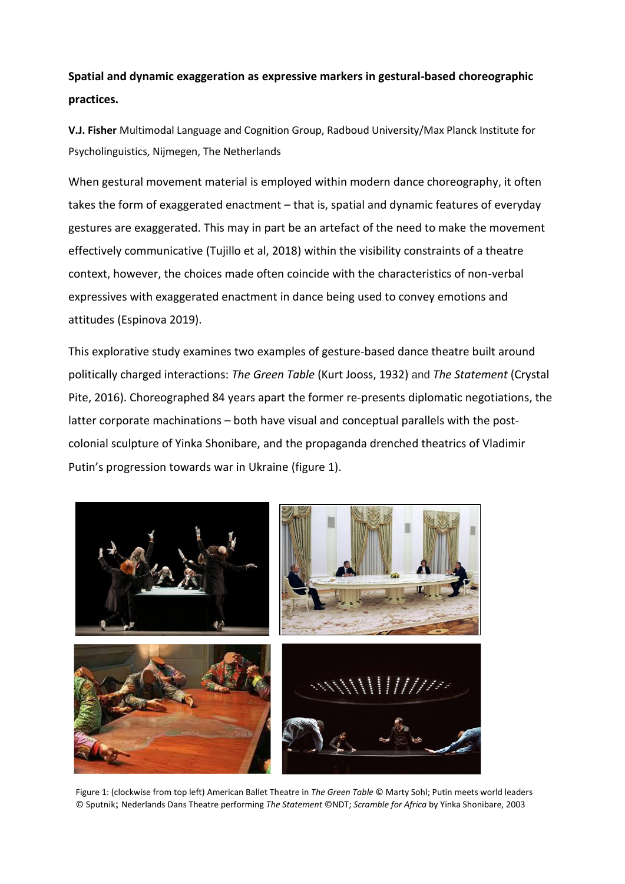## **Spatial and dynamic exaggeration as expressive markers in gestural-based choreographic practices.**

**V.J. Fisher** Multimodal Language and Cognition Group, Radboud University/Max Planck Institute for Psycholinguistics, Nijmegen, The Netherlands

When gestural movement material is employed within modern dance choreography, it often takes the form of exaggerated enactment – that is, spatial and dynamic features of everyday gestures are exaggerated. This may in part be an artefact of the need to make the movement effectively communicative (Tujillo et al, 2018) within the visibility constraints of a theatre context, however, the choices made often coincide with the characteristics of non-verbal expressives with exaggerated enactment in dance being used to convey emotions and attitudes (Espinova 2019).

This explorative study examines two examples of gesture-based dance theatre built around politically charged interactions: *The Green Table* (Kurt Jooss, 1932) and *The Statement* (Crystal Pite, 2016). Choreographed 84 years apart the former re-presents diplomatic negotiations, the latter corporate machinations – both have visual and conceptual parallels with the postcolonial sculpture of Yinka Shonibare, and the propaganda drenched theatrics of Vladimir Putin's progression towards war in Ukraine (figure 1).



Figure 1: (clockwise from top left) American Ballet Theatre in *The Green Table* © Marty Sohl; Putin meets world leaders © Sputnik; Nederlands Dans Theatre performing *The Statement* ©NDT; *Scramble for Africa* by Yinka Shonibare, 2003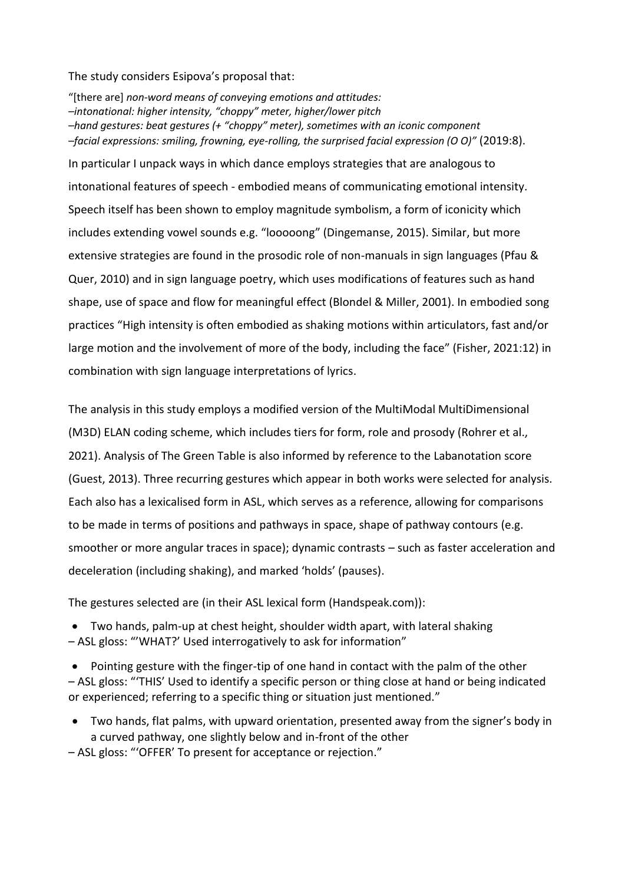The study considers Esipova's proposal that:

"[there are] *non-word means of conveying emotions and attitudes: –intonational: higher intensity, "choppy" meter, higher/lower pitch –hand gestures: beat gestures (+ "choppy" meter), sometimes with an iconic component –facial expressions: smiling, frowning, eye-rolling, the surprised facial expression (O O)"* (2019:8). In particular I unpack ways in which dance employs strategies that are analogous to intonational features of speech - embodied means of communicating emotional intensity. Speech itself has been shown to employ magnitude symbolism, a form of iconicity which includes extending vowel sounds e.g. "looooong" (Dingemanse, 2015). Similar, but more extensive strategies are found in the prosodic role of non-manuals in sign languages (Pfau & Quer, 2010) and in sign language poetry, which uses modifications of features such as hand shape, use of space and flow for meaningful effect (Blondel & Miller, 2001). In embodied song practices "High intensity is often embodied as shaking motions within articulators, fast and/or large motion and the involvement of more of the body, including the face" (Fisher, 2021:12) in combination with sign language interpretations of lyrics.

The analysis in this study employs a modified version of the MultiModal MultiDimensional (M3D) ELAN coding scheme, which includes tiers for form, role and prosody (Rohrer et al., 2021). Analysis of The Green Table is also informed by reference to the Labanotation score (Guest, 2013). Three recurring gestures which appear in both works were selected for analysis. Each also has a lexicalised form in ASL, which serves as a reference, allowing for comparisons to be made in terms of positions and pathways in space, shape of pathway contours (e.g. smoother or more angular traces in space); dynamic contrasts – such as faster acceleration and deceleration (including shaking), and marked 'holds' (pauses).

The gestures selected are (in their ASL lexical form (Handspeak.com)):

Two hands, palm-up at chest height, shoulder width apart, with lateral shaking

– ASL gloss: "'WHAT?' Used interrogatively to ask for information"

 Pointing gesture with the finger-tip of one hand in contact with the palm of the other – ASL gloss: "'THIS' Used to identify a specific person or thing close at hand or being indicated or experienced; referring to a specific thing or situation just mentioned."

- Two hands, flat palms, with upward orientation, presented away from the signer's body in a curved pathway, one slightly below and in-front of the other
- ASL gloss: "'OFFER' To present for acceptance or rejection."